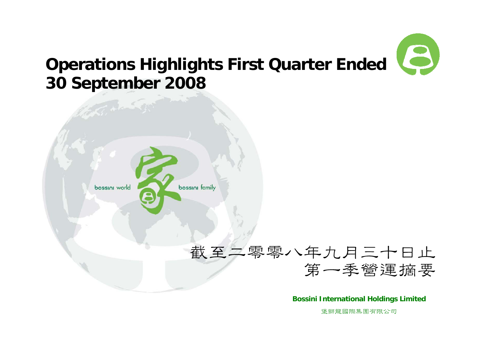#### $\boldsymbol{\beta}$ **Operations Highlights First Quarter Ended 30 September 2008**



**Bossini International Holdings Limited**

堡獅龍國際集團有限公司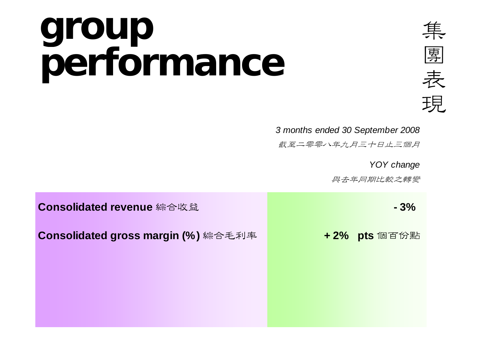### **group performance**



 *3 months ended 30 September 2008*

截至二零零八年九月三十日止三個月

*YOY change*

與去年同期比較之轉變

| Consolidated revenue 綜合收益           | $-3%$         |
|-------------------------------------|---------------|
| Consolidated gross margin (%) 綜合毛利率 | + 2% pts 個百份點 |
|                                     |               |
|                                     |               |
|                                     |               |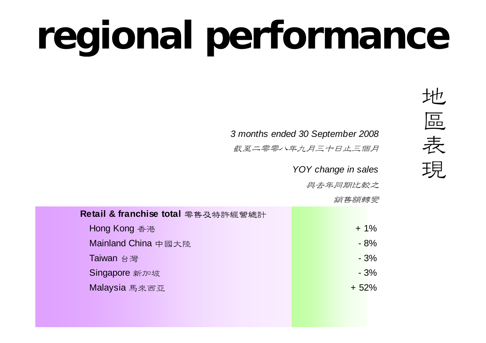# **regional performance**

 *3 months ended 30 September 2008*

截至二零零八年九月三十日止三個月

*YOY change in sales*

與去年同期比較之

銷售額轉變

| Retail & franchise total 零售及特許經營總計 |        |
|------------------------------------|--------|
| Hong Kong 香港                       | $+1\%$ |
| Mainland China 中國大陸                | $-8%$  |
| Taiwan 台灣                          | $-3%$  |
| Singapore 新加坡                      | $-3%$  |
| Malaysia 馬來西亞                      | $+52%$ |
|                                    |        |
|                                    |        |

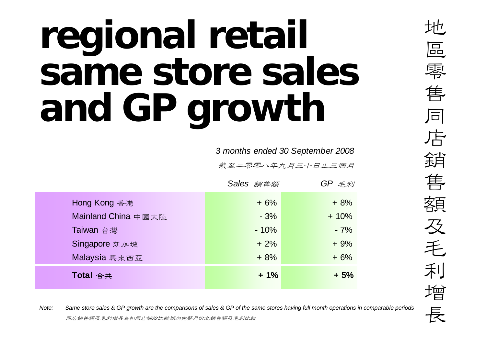## **regional retail same store sales and GP growth**

*3 months ended 30 September 2008*

截至二零零八年九月三十日止三個月

|                     | Sales 銷售額 | $GP \not\equiv \neq y$ |
|---------------------|-----------|------------------------|
| Hong Kong 香港        | $+6%$     | $+8%$                  |
| Mainland China 中國大陸 | $-3%$     | $+10%$                 |
| Taiwan 台灣           | $-10%$    | $-7%$                  |
| Singapore 新加坡       | $+2%$     | $+9%$                  |
| Malaysia 馬來西亞       | $+8%$     | $+6%$                  |
| Total 合共            | $+1%$     | $+5%$                  |

*Note:*<br>*Dote: Same store sales & GP growth are the comparisons of sales & GP of the same stores having full month operations in comparable periods***<br>同店銷售額及毛利增長為相同店舖於比較期內完整月份之銷售額及毛利比較**